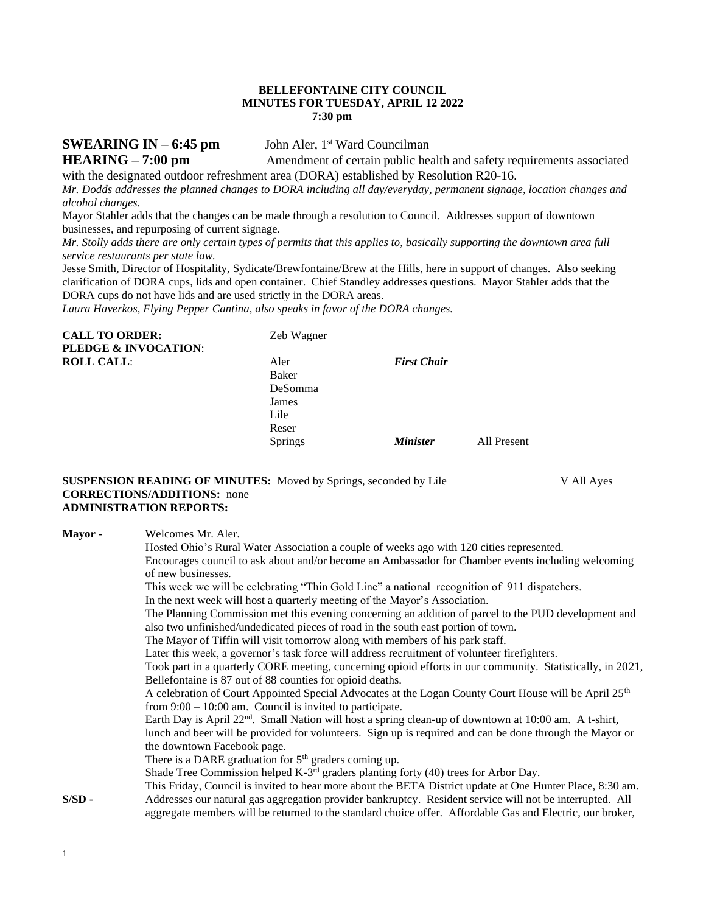#### **BELLEFONTAINE CITY COUNCIL MINUTES FOR TUESDAY, APRIL 12 2022 7:30 pm**

**SWEARING IN – 6:45 pm** John Aler, 1<sup>st</sup> Ward Councilman

**HEARING** – **7:00 pm Amendment of certain public health and safety requirements associated** with the designated outdoor refreshment area (DORA) established by Resolution R20-16.

*Mr. Dodds addresses the planned changes to DORA including all day/everyday, permanent signage, location changes and alcohol changes.*

Mayor Stahler adds that the changes can be made through a resolution to Council. Addresses support of downtown businesses, and repurposing of current signage.

*Mr. Stolly adds there are only certain types of permits that this applies to, basically supporting the downtown area full service restaurants per state law.*

Jesse Smith, Director of Hospitality, Sydicate/Brewfontaine/Brew at the Hills, here in support of changes. Also seeking clarification of DORA cups, lids and open container. Chief Standley addresses questions. Mayor Stahler adds that the DORA cups do not have lids and are used strictly in the DORA areas.

*Laura Haverkos, Flying Pepper Cantina, also speaks in favor of the DORA changes.*

| Zeb Wagner     |                        |             |
|----------------|------------------------|-------------|
|                |                        |             |
| Aler           | <b>First Chair</b>     |             |
| Baker          |                        |             |
| DeSomma        |                        |             |
| James          |                        |             |
| Lile           |                        |             |
| Reser          |                        |             |
| <b>Springs</b> | <i><b>Minister</b></i> | All Present |
|                |                        |             |

#### **SUSPENSION READING OF MINUTES:** Moved by Springs, seconded by Lile V All Ayes **CORRECTIONS/ADDITIONS:** none **ADMINISTRATION REPORTS:**

| Mayor -  | Welcomes Mr. Aler.                                                                                                |
|----------|-------------------------------------------------------------------------------------------------------------------|
|          | Hosted Ohio's Rural Water Association a couple of weeks ago with 120 cities represented.                          |
|          | Encourages council to ask about and/or become an Ambassador for Chamber events including welcoming                |
|          | of new businesses.                                                                                                |
|          | This week we will be celebrating "Thin Gold Line" a national recognition of 911 dispatchers.                      |
|          | In the next week will host a quarterly meeting of the Mayor's Association.                                        |
|          | The Planning Commission met this evening concerning an addition of parcel to the PUD development and              |
|          | also two unfinished/undedicated pieces of road in the south east portion of town.                                 |
|          | The Mayor of Tiffin will visit tomorrow along with members of his park staff.                                     |
|          | Later this week, a governor's task force will address recruitment of volunteer firefighters.                      |
|          | Took part in a quarterly CORE meeting, concerning opioid efforts in our community. Statistically, in 2021,        |
|          | Bellefontaine is 87 out of 88 counties for opioid deaths.                                                         |
|          | A celebration of Court Appointed Special Advocates at the Logan County Court House will be April 25 <sup>th</sup> |
|          | from $9:00 - 10:00$ am. Council is invited to participate.                                                        |
|          | Earth Day is April $22^{nd}$ . Small Nation will host a spring clean-up of downtown at 10:00 am. A t-shirt,       |
|          | lunch and beer will be provided for volunteers. Sign up is required and can be done through the Mayor or          |
|          | the downtown Facebook page.                                                                                       |
|          | There is a DARE graduation for $5th$ graders coming up.                                                           |
|          | Shade Tree Commission helped K-3 <sup>rd</sup> graders planting forty (40) trees for Arbor Day.                   |
|          | This Friday, Council is invited to hear more about the BETA District update at One Hunter Place, 8:30 am.         |
| $S/SD$ - | Addresses our natural gas aggregation provider bankruptcy. Resident service will not be interrupted. All          |
|          | aggregate members will be returned to the standard choice offer. Affordable Gas and Electric, our broker,         |
|          |                                                                                                                   |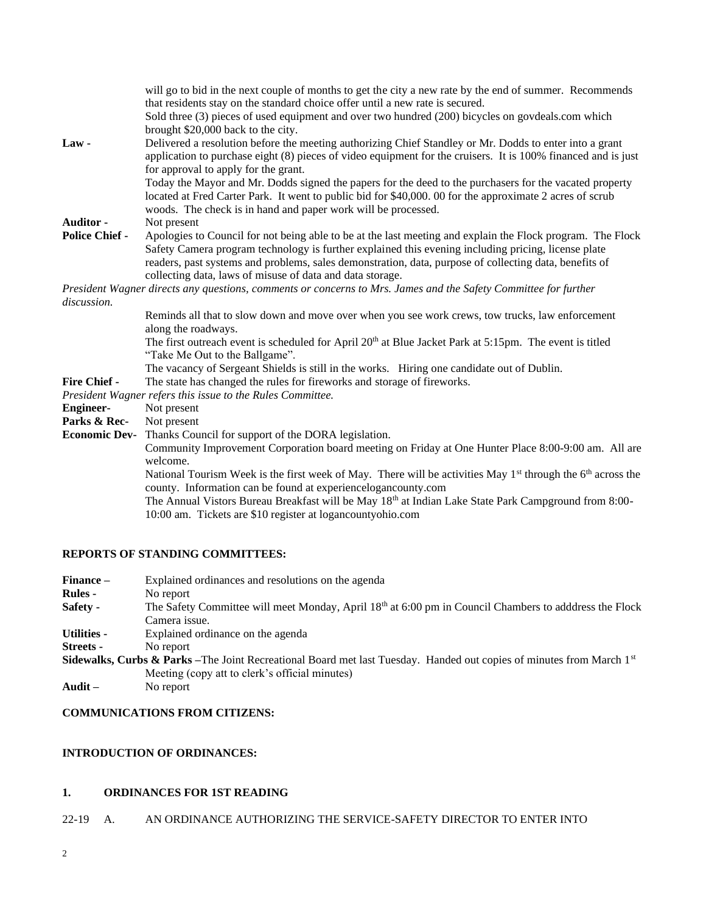| Law-                  | will go to bid in the next couple of months to get the city a new rate by the end of summer. Recommends<br>that residents stay on the standard choice offer until a new rate is secured.<br>Sold three (3) pieces of used equipment and over two hundred (200) bicycles on govdeals.com which<br>brought \$20,000 back to the city.<br>Delivered a resolution before the meeting authorizing Chief Standley or Mr. Dodds to enter into a grant<br>application to purchase eight (8) pieces of video equipment for the cruisers. It is 100% financed and is just<br>for approval to apply for the grant.<br>Today the Mayor and Mr. Dodds signed the papers for the deed to the purchasers for the vacated property<br>located at Fred Carter Park. It went to public bid for \$40,000. 00 for the approximate 2 acres of scrub<br>woods. The check is in hand and paper work will be processed. |
|-----------------------|-------------------------------------------------------------------------------------------------------------------------------------------------------------------------------------------------------------------------------------------------------------------------------------------------------------------------------------------------------------------------------------------------------------------------------------------------------------------------------------------------------------------------------------------------------------------------------------------------------------------------------------------------------------------------------------------------------------------------------------------------------------------------------------------------------------------------------------------------------------------------------------------------|
| <b>Auditor -</b>      | Not present                                                                                                                                                                                                                                                                                                                                                                                                                                                                                                                                                                                                                                                                                                                                                                                                                                                                                     |
| <b>Police Chief -</b> | Apologies to Council for not being able to be at the last meeting and explain the Flock program. The Flock<br>Safety Camera program technology is further explained this evening including pricing, license plate<br>readers, past systems and problems, sales demonstration, data, purpose of collecting data, benefits of<br>collecting data, laws of misuse of data and data storage.                                                                                                                                                                                                                                                                                                                                                                                                                                                                                                        |
|                       | President Wagner directs any questions, comments or concerns to Mrs. James and the Safety Committee for further                                                                                                                                                                                                                                                                                                                                                                                                                                                                                                                                                                                                                                                                                                                                                                                 |
| discussion.           |                                                                                                                                                                                                                                                                                                                                                                                                                                                                                                                                                                                                                                                                                                                                                                                                                                                                                                 |
|                       | Reminds all that to slow down and move over when you see work crews, tow trucks, law enforcement<br>along the roadways.<br>The first outreach event is scheduled for April 20 <sup>th</sup> at Blue Jacket Park at 5:15pm. The event is titled<br>"Take Me Out to the Ballgame".<br>The vacancy of Sergeant Shields is still in the works. Hiring one candidate out of Dublin.                                                                                                                                                                                                                                                                                                                                                                                                                                                                                                                  |
| <b>Fire Chief -</b>   | The state has changed the rules for fireworks and storage of fireworks.                                                                                                                                                                                                                                                                                                                                                                                                                                                                                                                                                                                                                                                                                                                                                                                                                         |
|                       | President Wagner refers this issue to the Rules Committee.                                                                                                                                                                                                                                                                                                                                                                                                                                                                                                                                                                                                                                                                                                                                                                                                                                      |
| <b>Engineer-</b>      | Not present                                                                                                                                                                                                                                                                                                                                                                                                                                                                                                                                                                                                                                                                                                                                                                                                                                                                                     |
| Parks & Rec-          | Not present                                                                                                                                                                                                                                                                                                                                                                                                                                                                                                                                                                                                                                                                                                                                                                                                                                                                                     |
| <b>Economic Dev-</b>  | Thanks Council for support of the DORA legislation.                                                                                                                                                                                                                                                                                                                                                                                                                                                                                                                                                                                                                                                                                                                                                                                                                                             |
|                       | Community Improvement Corporation board meeting on Friday at One Hunter Place 8:00-9:00 am. All are<br>welcome.<br>National Tourism Week is the first week of May. There will be activities May 1 <sup>st</sup> through the 6 <sup>th</sup> across the<br>county. Information can be found at experiencelogancounty.com<br>The Annual Vistors Bureau Breakfast will be May 18 <sup>th</sup> at Indian Lake State Park Campground from 8:00-<br>10:00 am. Tickets are \$10 register at logancountyohio.com                                                                                                                                                                                                                                                                                                                                                                                       |
|                       |                                                                                                                                                                                                                                                                                                                                                                                                                                                                                                                                                                                                                                                                                                                                                                                                                                                                                                 |

# **REPORTS OF STANDING COMMITTEES:**

| Finance –          | Explained ordinances and resolutions on the agenda                                                                                          |
|--------------------|---------------------------------------------------------------------------------------------------------------------------------------------|
| <b>Rules</b> -     | No report                                                                                                                                   |
| Safety -           | The Safety Committee will meet Monday, April 18th at 6:00 pm in Council Chambers to adddress the Flock                                      |
|                    | Camera issue.                                                                                                                               |
| <b>Utilities -</b> | Explained ordinance on the agenda                                                                                                           |
| Streets -          | No report                                                                                                                                   |
|                    | <b>Sidewalks, Curbs &amp; Parks</b> –The Joint Recreational Board met last Tuesday. Handed out copies of minutes from March 1 <sup>st</sup> |
|                    | Meeting (copy att to clerk's official minutes)                                                                                              |
| $A - 34$           | $N_{\alpha}$ rancet                                                                                                                         |

**Audit –** No report

# **COMMUNICATIONS FROM CITIZENS:**

## **INTRODUCTION OF ORDINANCES:**

## **1. ORDINANCES FOR 1ST READING**

## 22-19 A. AN ORDINANCE AUTHORIZING THE SERVICE-SAFETY DIRECTOR TO ENTER INTO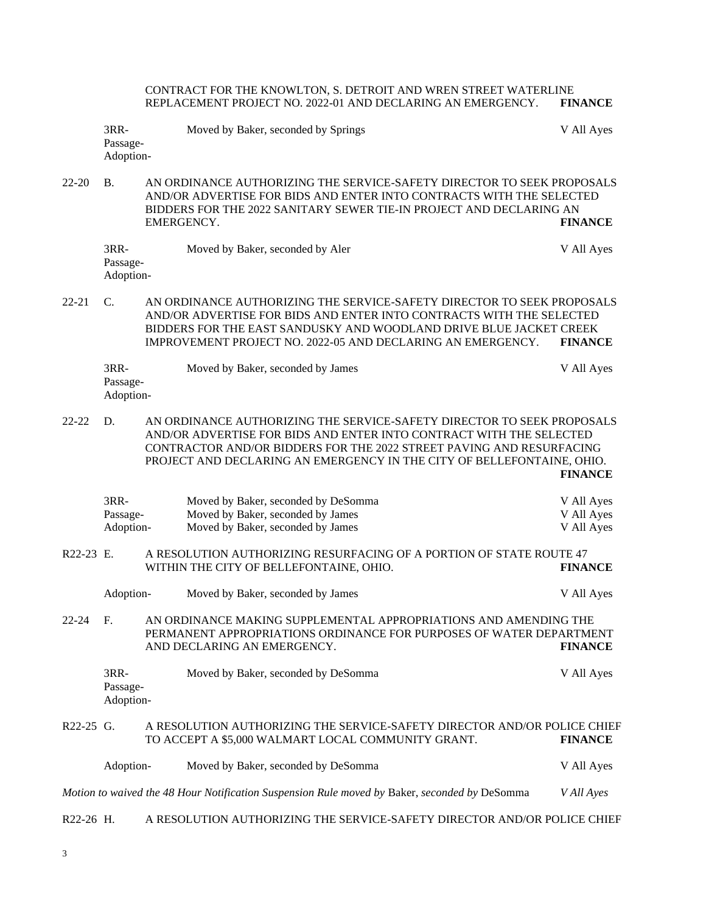CONTRACT FOR THE KNOWLTON, S. DETROIT AND WREN STREET WATERLINE REPLACEMENT PROJECT NO. 2022-01 AND DECLARING AN EMERGENCY. **FINANCE**

| 3RR-                  | Moved by Baker, seconded by Springs | V All Ayes |
|-----------------------|-------------------------------------|------------|
| Passage-<br>Adoption- |                                     |            |
|                       |                                     |            |

22-20 B. AN ORDINANCE AUTHORIZING THE SERVICE-SAFETY DIRECTOR TO SEEK PROPOSALS AND/OR ADVERTISE FOR BIDS AND ENTER INTO CONTRACTS WITH THE SELECTED BIDDERS FOR THE 2022 SANITARY SEWER TIE-IN PROJECT AND DECLARING AN EMERGENCY. **FINANCE**

| 3RR-      | Moved by Baker, seconded by Aler | V All Ayes |
|-----------|----------------------------------|------------|
| Passage-  |                                  |            |
| Adoption- |                                  |            |

22-21 C. AN ORDINANCE AUTHORIZING THE SERVICE-SAFETY DIRECTOR TO SEEK PROPOSALS AND/OR ADVERTISE FOR BIDS AND ENTER INTO CONTRACTS WITH THE SELECTED BIDDERS FOR THE EAST SANDUSKY AND WOODLAND DRIVE BLUE JACKET CREEK IMPROVEMENT PROJECT NO. 2022-05 AND DECLARING AN EMERGENCY. **FINANCE**

| 3RR-      | Moved by Baker, seconded by James | V All Ayes |
|-----------|-----------------------------------|------------|
| Passage-  |                                   |            |
| Adoption- |                                   |            |

22-22 D. AN ORDINANCE AUTHORIZING THE SERVICE-SAFETY DIRECTOR TO SEEK PROPOSALS AND/OR ADVERTISE FOR BIDS AND ENTER INTO CONTRACT WITH THE SELECTED CONTRACTOR AND/OR BIDDERS FOR THE 2022 STREET PAVING AND RESURFACING PROJECT AND DECLARING AN EMERGENCY IN THE CITY OF BELLEFONTAINE, OHIO. **FINANCE**

| 3RR-      | Moved by Baker, seconded by DeSomma | V All Ayes |
|-----------|-------------------------------------|------------|
| Passage-  | Moved by Baker, seconded by James   | V All Ayes |
| Adoption- | Moved by Baker, seconded by James   | V All Ayes |

R22-23 E. A RESOLUTION AUTHORIZING RESURFACING OF A PORTION OF STATE ROUTE 47 WITHIN THE CITY OF BELLEFONTAINE, OHIO. **FINANCE**

|          | Adoption-                       | Moved by Baker, seconded by James                                                                                                                                      | V All Ayes     |
|----------|---------------------------------|------------------------------------------------------------------------------------------------------------------------------------------------------------------------|----------------|
| 22-24 F. |                                 | AN ORDINANCE MAKING SUPPLEMENTAL APPROPRIATIONS AND AMENDING THE<br>PERMANENT APPROPRIATIONS ORDINANCE FOR PURPOSES OF WATER DEPARTMENT<br>AND DECLARING AN EMERGENCY. | <b>FINANCE</b> |
|          | $3RR-$<br>Passage-<br>Adoption- | Moved by Baker, seconded by DeSomma                                                                                                                                    | V All Ayes     |

#### R22-25 G. A RESOLUTION AUTHORIZING THE SERVICE-SAFETY DIRECTOR AND/OR POLICE CHIEF TO ACCEPT A \$5,000 WALMART LOCAL COMMUNITY GRANT. **FINANCE**

| Adoption- | Moved by Baker, seconded by DeSomma                                                           | V All Ayes |
|-----------|-----------------------------------------------------------------------------------------------|------------|
|           | Motion to waived the 48 Hour Notification Suspension Rule moved by Baker, seconded by DeSomma | V All Ayes |

R22-26 H. A RESOLUTION AUTHORIZING THE SERVICE-SAFETY DIRECTOR AND/OR POLICE CHIEF